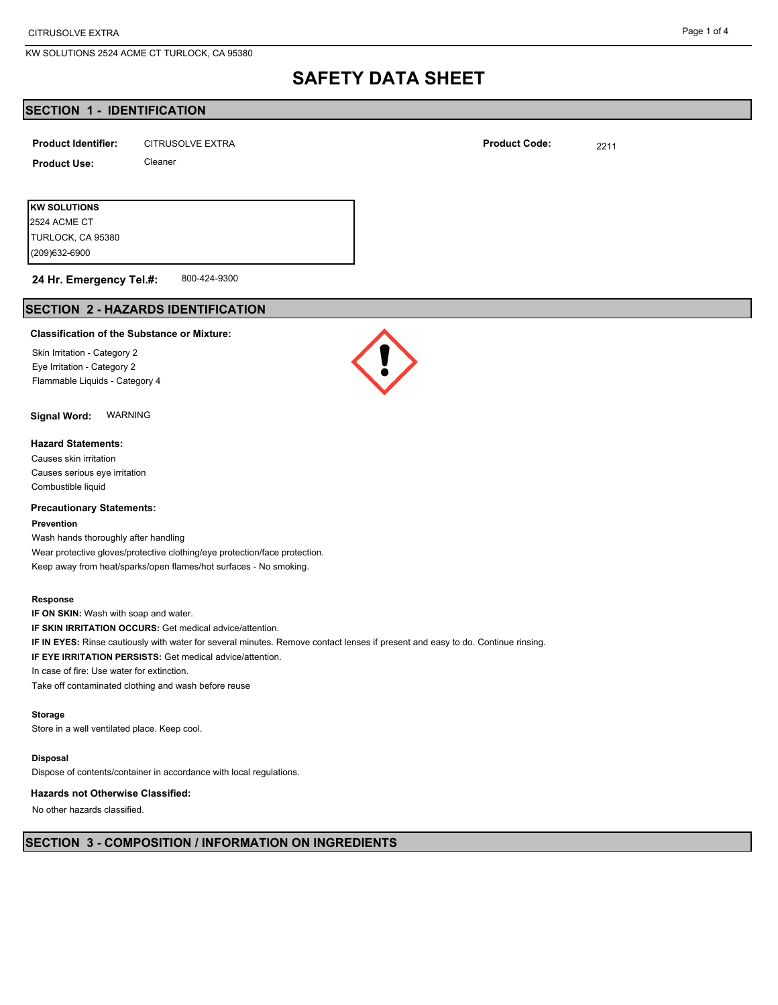2524 ACME CT

KW SOLUTIONS 2524 ACME CT TURLOCK, CA 95380

# **SAFETY DATA SHEET**

# **SECTION 1 - IDENTIFICATION**

| <b>Product Identifier:</b> | <b>CITRUSOLVE EXTRA</b> | <b>Product Code:</b> | 2211 |
|----------------------------|-------------------------|----------------------|------|
| <b>Product Use:</b>        | Cleaner                 |                      |      |
|                            |                         |                      |      |
| <b>KW SOLUTIONS</b>        |                         |                      |      |

800-424-9300 (209)632-6900 TURLOCK, CA 95380 **24 Hr. Emergency Tel.#:**

# **SECTION 2 - HAZARDS IDENTIFICATION**

#### **Classification of the Substance or Mixture:**

Skin Irritation - Category 2 Eye Irritation - Category 2 Flammable Liquids - Category 4

**Signal Word:** WARNING

### **Hazard Statements:**

Causes skin irritation Causes serious eye irritation Combustible liquid

#### **Precautionary Statements:**

#### **Prevention**

Wash hands thoroughly after handling Wear protective gloves/protective clothing/eye protection/face protection. Keep away from heat/sparks/open flames/hot surfaces - No smoking.

#### **Response**

**IF ON SKIN:** Wash with soap and water. **IF SKIN IRRITATION OCCURS:** Get medical advice/attention.

**IF IN EYES:** Rinse cautiously with water for several minutes. Remove contact lenses if present and easy to do. Continue rinsing.

**IF EYE IRRITATION PERSISTS:** Get medical advice/attention.

In case of fire: Use water for extinction.

Take off contaminated clothing and wash before reuse

#### **Storage**

Store in a well ventilated place. Keep cool.

#### **Disposal**

Dispose of contents/container in accordance with local regulations.

#### **Hazards not Otherwise Classified:**

No other hazards classified.



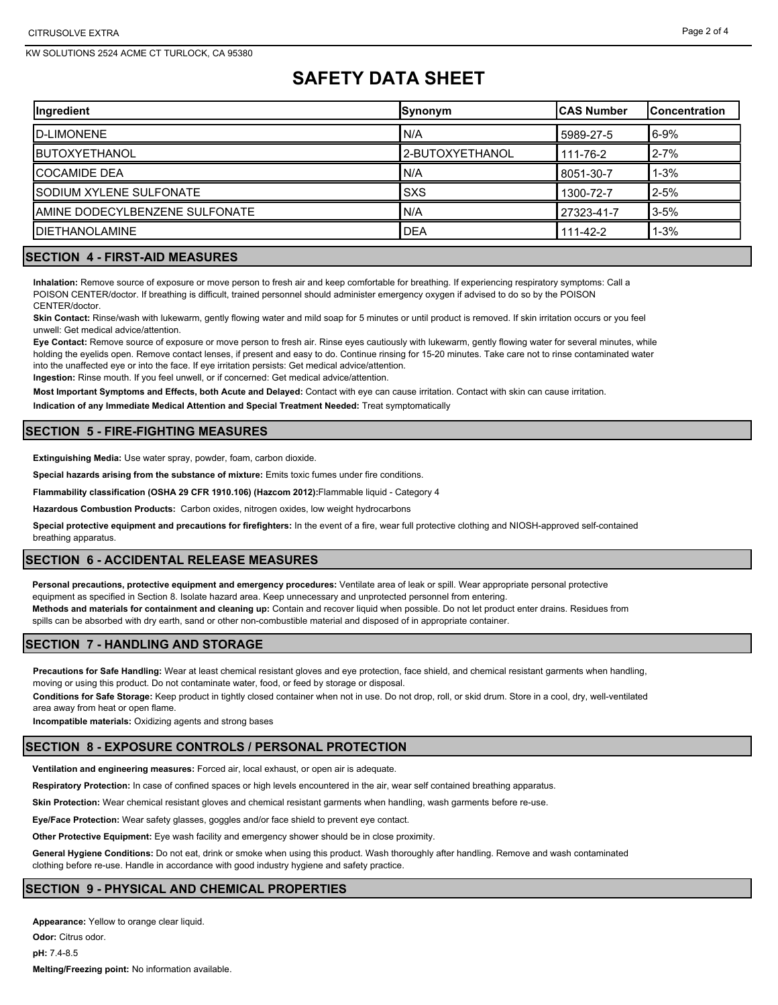# **SAFETY DATA SHEET**

| Ingredient                      | Synonym          | ICAS Number | <b>IConcentration</b> |
|---------------------------------|------------------|-------------|-----------------------|
| <b>ID-LIMONENE</b>              | N/A              | 5989-27-5   | $6 - 9%$              |
| <b>IBUTOXYETHANOL</b>           | l2-BUTOXYETHANOL | 111-76-2    | $2 - 7%$              |
| <b>ICOCAMIDE DEA</b>            | N/A              | 8051-30-7   | $1 - 3%$              |
| ISODIUM XYLENE SULFONATE        | <b>SXS</b>       | 1300-72-7   | $2 - 5%$              |
| IAMINE DODECYLBENZENE SULFONATE | N/A              | 27323-41-7  | $3 - 5%$              |
| <b>IDIETHANOLAMINE</b>          | <b>DEA</b>       | 111-42-2    | $1 - 3%$              |

# **SECTION 4 - FIRST-AID MEASURES**

**Inhalation:** Remove source of exposure or move person to fresh air and keep comfortable for breathing. If experiencing respiratory symptoms: Call a POISON CENTER/doctor. If breathing is difficult, trained personnel should administer emergency oxygen if advised to do so by the POISON CENTER/doctor.

**Skin Contact:** Rinse/wash with lukewarm, gently flowing water and mild soap for 5 minutes or until product is removed. If skin irritation occurs or you feel unwell: Get medical advice/attention.

**Eye Contact:** Remove source of exposure or move person to fresh air. Rinse eyes cautiously with lukewarm, gently flowing water for several minutes, while holding the eyelids open. Remove contact lenses, if present and easy to do. Continue rinsing for 15-20 minutes. Take care not to rinse contaminated water into the unaffected eye or into the face. If eye irritation persists: Get medical advice/attention.

**Ingestion:** Rinse mouth. If you feel unwell, or if concerned: Get medical advice/attention.

**Most Important Symptoms and Effects, both Acute and Delayed:** Contact with eye can cause irritation. Contact with skin can cause irritation.

**Indication of any Immediate Medical Attention and Special Treatment Needed:** Treat symptomatically

# **SECTION 5 - FIRE-FIGHTING MEASURES**

**Extinguishing Media:** Use water spray, powder, foam, carbon dioxide.

**Special hazards arising from the substance of mixture:** Emits toxic fumes under fire conditions.

**Flammability classification (OSHA 29 CFR 1910.106) (Hazcom 2012):**Flammable liquid - Category 4

**Hazardous Combustion Products:** Carbon oxides, nitrogen oxides, low weight hydrocarbons

**Special protective equipment and precautions for firefighters:** In the event of a fire, wear full protective clothing and NIOSH-approved self-contained breathing apparatus.

# **SECTION 6 - ACCIDENTAL RELEASE MEASURES**

**Personal precautions, protective equipment and emergency procedures:** Ventilate area of leak or spill. Wear appropriate personal protective equipment as specified in Section 8. Isolate hazard area. Keep unnecessary and unprotected personnel from entering. **Methods and materials for containment and cleaning up:** Contain and recover liquid when possible. Do not let product enter drains. Residues from spills can be absorbed with dry earth, sand or other non-combustible material and disposed of in appropriate container.

# **SECTION 7 - HANDLING AND STORAGE**

**Precautions for Safe Handling:** Wear at least chemical resistant gloves and eye protection, face shield, and chemical resistant garments when handling, moving or using this product. Do not contaminate water, food, or feed by storage or disposal.

**Conditions for Safe Storage:** Keep product in tightly closed container when not in use. Do not drop, roll, or skid drum. Store in a cool, dry, well-ventilated area away from heat or open flame.

**Incompatible materials:** Oxidizing agents and strong bases

# **SECTION 8 - EXPOSURE CONTROLS / PERSONAL PROTECTION**

**Ventilation and engineering measures:** Forced air, local exhaust, or open air is adequate.

**Respiratory Protection:** In case of confined spaces or high levels encountered in the air, wear self contained breathing apparatus.

**Skin Protection:** Wear chemical resistant gloves and chemical resistant garments when handling, wash garments before re-use.

**Eye/Face Protection:** Wear safety glasses, goggles and/or face shield to prevent eye contact.

**Other Protective Equipment:** Eye wash facility and emergency shower should be in close proximity.

**General Hygiene Conditions:** Do not eat, drink or smoke when using this product. Wash thoroughly after handling. Remove and wash contaminated clothing before re-use. Handle in accordance with good industry hygiene and safety practice.

#### **SECTION 9 - PHYSICAL AND CHEMICAL PROPERTIES**

**Appearance:** Yellow to orange clear liquid.

**Odor:** Citrus odor. **pH:** 7.4-8.5

**Melting/Freezing point:** No information available.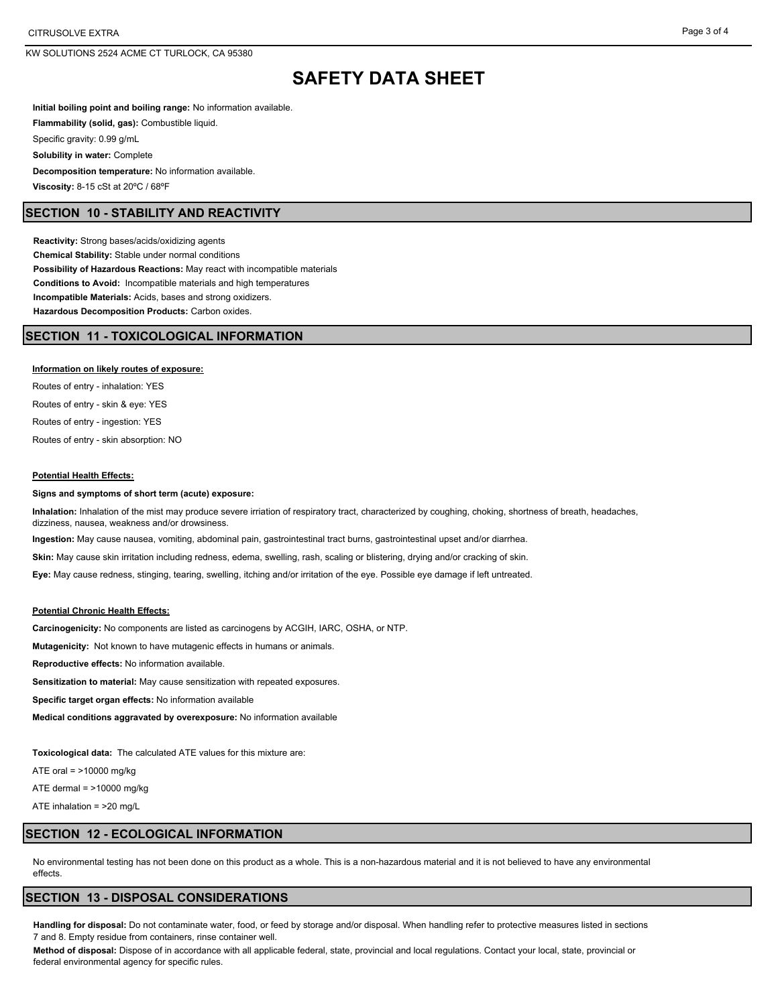KW SOLUTIONS 2524 ACME CT TURLOCK, CA 95380

# **SAFETY DATA SHEET**

**Initial boiling point and boiling range:** No information available. **Flammability (solid, gas):** Combustible liquid. Specific gravity: 0.99 g/mL **Solubility in water:** Complete **Decomposition temperature:** No information available. **Viscosity:** 8-15 cSt at 20ºC / 68ºF

### **SECTION 10 - STABILITY AND REACTIVITY**

**Reactivity:** Strong bases/acids/oxidizing agents **Chemical Stability:** Stable under normal conditions **Possibility of Hazardous Reactions:** May react with incompatible materials **Conditions to Avoid:** Incompatible materials and high temperatures **Incompatible Materials:** Acids, bases and strong oxidizers. **Hazardous Decomposition Products:** Carbon oxides.

#### **SECTION 11 - TOXICOLOGICAL INFORMATION**

#### **Information on likely routes of exposure:**

Routes of entry - inhalation: YES Routes of entry - skin & eye: YES Routes of entry - ingestion: YES Routes of entry - skin absorption: NO

#### **Potential Health Effects:**

#### **Signs and symptoms of short term (acute) exposure:**

**Inhalation:** Inhalation of the mist may produce severe irriation of respiratory tract, characterized by coughing, choking, shortness of breath, headaches, dizziness, nausea, weakness and/or drowsiness.

**Ingestion:** May cause nausea, vomiting, abdominal pain, gastrointestinal tract burns, gastrointestinal upset and/or diarrhea.

**Skin:** May cause skin irritation including redness, edema, swelling, rash, scaling or blistering, drying and/or cracking of skin.

**Eye:** May cause redness, stinging, tearing, swelling, itching and/or irritation of the eye. Possible eye damage if left untreated.

#### **Potential Chronic Health Effects:**

**Carcinogenicity:** No components are listed as carcinogens by ACGIH, IARC, OSHA, or NTP.

**Mutagenicity:** Not known to have mutagenic effects in humans or animals.

**Reproductive effects:** No information available.

**Sensitization to material:** May cause sensitization with repeated exposures.

**Specific target organ effects:** No information available

**Medical conditions aggravated by overexposure:** No information available

**Toxicological data:** The calculated ATE values for this mixture are:

ATE oral = >10000 mg/kg

ATE dermal  $=$  >10000 mg/kg

ATE inhalation = >20 mg/L

### **SECTION 12 - ECOLOGICAL INFORMATION**

No environmental testing has not been done on this product as a whole. This is a non-hazardous material and it is not believed to have any environmental effects.

#### **SECTION 13 - DISPOSAL CONSIDERATIONS**

**Handling for disposal:** Do not contaminate water, food, or feed by storage and/or disposal. When handling refer to protective measures listed in sections 7 and 8. Empty residue from containers, rinse container well.

**Method of disposal:** Dispose of in accordance with all applicable federal, state, provincial and local regulations. Contact your local, state, provincial or federal environmental agency for specific rules.